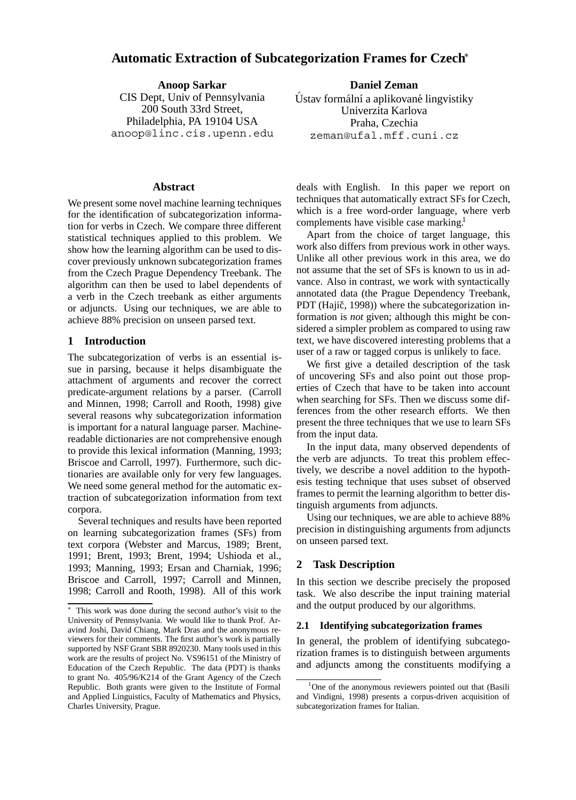# **Automatic Extraction of Subcategorization Frames for Czech**

**Anoop Sarkar** CIS Dept, Univ of Pennsylvania 200 South 33rd Street, Philadelphia, PA 19104 USA anoop@linc.cis.upenn.edu

## **Abstract**

We present some novel machine learning techniques for the identification of subcategorization information for verbs in Czech. We compare three different statistical techniques applied to this problem. We show how the learning algorithm can be used to discover previously unknown subcategorization frames from the Czech Prague Dependency Treebank. The algorithm can then be used to label dependents of a verb in the Czech treebank as either arguments or adjuncts. Using our techniques, we are able to achieve 88% precision on unseen parsed text.

### **1 Introduction**

The subcategorization of verbs is an essential issue in parsing, because it helps disambiguate the attachment of arguments and recover the correct predicate-argument relations by a parser. (Carroll and Minnen, 1998; Carroll and Rooth, 1998) give several reasons why subcategorization information is important for a natural language parser. Machinereadable dictionaries are not comprehensive enough to provide this lexical information (Manning, 1993; Briscoe and Carroll, 1997). Furthermore, such dictionaries are available only for very few languages. We need some general method for the automatic extraction of subcategorization information from text corpora.

Several techniques and results have been reported on learning subcategorization frames (SFs) from text corpora (Webster and Marcus, 1989; Brent, 1991; Brent, 1993; Brent, 1994; Ushioda et al., 1993; Manning, 1993; Ersan and Charniak, 1996; Briscoe and Carroll, 1997; Carroll and Minnen, 1998; Carroll and Rooth, 1998). All of this work

**Daniel Zeman** Ústav formální a aplikované lingvistiky Univerzita Karlova Praha, Czechia zeman@ufal.mff.cuni.cz

deals with English. In this paper we report on techniques that automatically extract SFs for Czech, which is a free word-order language, where verb complements have visible case marking.<sup>1</sup>

Apart from the choice of target language, this work also differs from previous work in other ways. Unlike all other previous work in this area, we do not assume that the set of SFs is known to us in advance. Also in contrast, we work with syntactically annotated data (the Prague Dependency Treebank, PDT (Hajič, 1998)) where the subcategorization information is *not* given; although this might be considered a simpler problem as compared to using raw text, we have discovered interesting problems that a user of a raw or tagged corpus is unlikely to face.

We first give a detailed description of the task of uncovering SFs and also point out those properties of Czech that have to be taken into account when searching for SFs. Then we discuss some differences from the other research efforts. We then present the three techniques that we use to learn SFs from the input data.

In the input data, many observed dependents of the verb are adjuncts. To treat this problem effectively, we describe a novel addition to the hypothesis testing technique that uses subset of observed frames to permit the learning algorithm to better distinguish arguments from adjuncts.

Using our techniques, we are able to achieve 88% precision in distinguishing arguments from adjuncts on unseen parsed text.

#### **2 Task Description**

In this section we describe precisely the proposed task. We also describe the input training material and the output produced by our algorithms.

#### **2.1 Identifying subcategorization frames**

In general, the problem of identifying subcategorization frames is to distinguish between arguments and adjuncts among the constituents modifying a

This work was done during the second author's visit to the University of Pennsylvania. We would like to thank Prof. Aravind Joshi, David Chiang, Mark Dras and the anonymous reviewers for their comments. The first author's work is partially supported by NSF Grant SBR 8920230. Many tools used in this work are the results of project No. VS96151 of the Ministry of Education of the Czech Republic. The data (PDT) is thanks to grant No. 405/96/K214 of the Grant Agency of the Czech Republic. Both grants were given to the Institute of Formal and Applied Linguistics, Faculty of Mathematics and Physics, Charles University, Prague.

<sup>&</sup>lt;sup>1</sup>One of the anonymous reviewers pointed out that (Basili and Vindigni, 1998) presents a corpus-driven acquisition of subcategorization frames for Italian.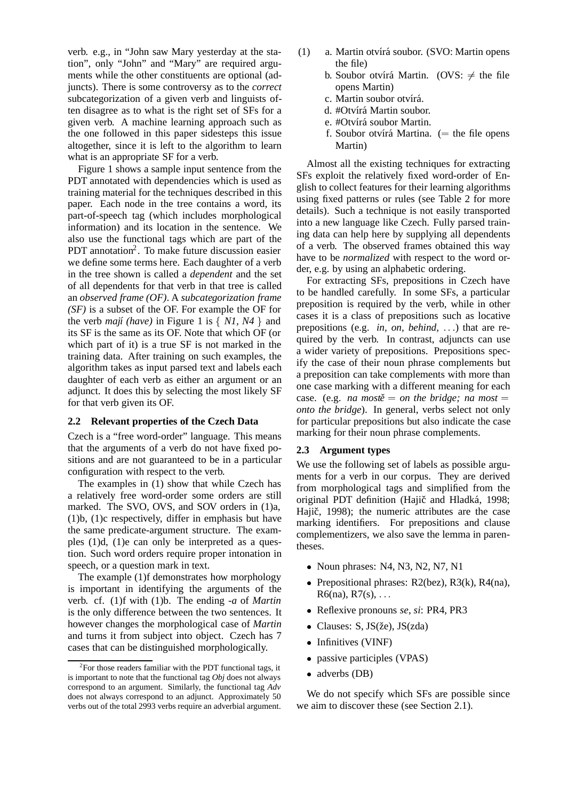verb. e.g., in "John saw Mary yesterday at the station", only "John" and "Mary" are required arguments while the other constituents are optional (adjuncts). There is some controversy as to the *correct* subcategorization of a given verb and linguists often disagree as to what is the right set of SFs for a given verb. A machine learning approach such as the one followed in this paper sidesteps this issue altogether, since it is left to the algorithm to learn what is an appropriate SF for a verb.

Figure 1 shows a sample input sentence from the PDT annotated with dependencies which is used as training material for the techniques described in this paper. Each node in the tree contains a word, its part-of-speech tag (which includes morphological information) and its location in the sentence. We also use the functional tags which are part of the PDT annotation<sup>2</sup>. To make future discussion easier we define some terms here. Each daughter of a verb in the tree shown is called a *dependent* and the set of all dependents for that verb in that tree is called an *observed frame (OF)*. A *subcategorization frame (SF)* is a subset of the OF. For example the OF for the verb *mají* (have) in Figure 1 is  $\{ N1, N4 \}$  and its SF is the same as its OF. Note that which OF (or which part of it) is a true SF is not marked in the training data. After training on such examples, the algorithm takes as input parsed text and labels each daughter of each verb as either an argument or an adjunct. It does this by selecting the most likely SF for that verb given its OF.

## **2.2 Relevant properties of the Czech Data**

Czech is a "free word-order" language. This means that the arguments of a verb do not have fixed positions and are not guaranteed to be in a particular configuration with respect to the verb.

The examples in (1) show that while Czech has a relatively free word-order some orders are still marked. The SVO, OVS, and SOV orders in (1)a, (1)b, (1)c respectively, differ in emphasis but have the same predicate-argument structure. The examples (1)d, (1)e can only be interpreted as a question. Such word orders require proper intonation in speech, or a question mark in text.

The example (1)f demonstrates how morphology is important in identifying the arguments of the verb. cf. (1)f with (1)b. The ending *-a* of *Martin* is the only difference between the two sentences. It however changes the morphological case of *Martin* and turns it from subject into object. Czech has 7 cases that can be distinguished morphologically.

- (1) a. Martin otvírá soubor. (SVO: Martin opens the file)
	- b. Soubor otvírá Martin. (OVS:  $\neq$  the file opens Martin)
	- c. Martin soubor otvírá.
	- d. #Otvírá Martin soubor.
	- e. #Otvírá soubor Martin.
	- f. Soubor otvírá Martina.  $(=$  the file opens Martin)

Almost all the existing techniques for extracting SFs exploit the relatively fixed word-order of English to collect features for their learning algorithms using fixed patterns or rules (see Table 2 for more details). Such a technique is not easily transported into a new language like Czech. Fully parsed training data can help here by supplying all dependents of a verb. The observed frames obtained this way have to be *normalized* with respect to the word order, e.g. by using an alphabetic ordering.

For extracting SFs, prepositions in Czech have to be handled carefully. In some SFs, a particular preposition is required by the verb, while in other cases it is a class of prepositions such as locative prepositions (e.g. *in, on, behind, ...*) that are required by the verb. In contrast, adjuncts can use a wider variety of prepositions. Prepositions specify the case of their noun phrase complements but a preposition can take complements with more than one case marking with a different meaning for each case. (e.g. *na mostě* = *on the bridge; na most* = *onto the bridge*). In general, verbs select not only for particular prepositions but also indicate the case marking for their noun phrase complements.

## **2.3 Argument types**

We use the following set of labels as possible arguments for a verb in our corpus. They are derived from morphological tags and simplified from the original PDT definition (Hajič and Hladká, 1998; Hajič, 1998); the numeric attributes are the case marking identifiers. For prepositions and clause complementizers, we also save the lemma in parentheses.

- Noun phrases: N4, N3, N2, N7, N1
- Prepositional phrases: R2(bez), R3(k), R4(na),  $R6(na)$ ,  $R7(s)$ ,  $\ldots$
- Reflexive pronouns *se*, *si*: PR4, PR3
- Clauses: S, JS(že), JS(zda)
- Infinitives (VINF)
- passive participles (VPAS)
- adverbs (DB)

We do not specify which SFs are possible since we aim to discover these (see Section 2.1).

 ${}^{2}$ For those readers familiar with the PDT functional tags, it is important to note that the functional tag *Obj* does not always correspond to an argument. Similarly, the functional tag *Adv* does not always correspond to an adjunct. Approximately 50 verbs out of the total 2993 verbs require an adverbial argument.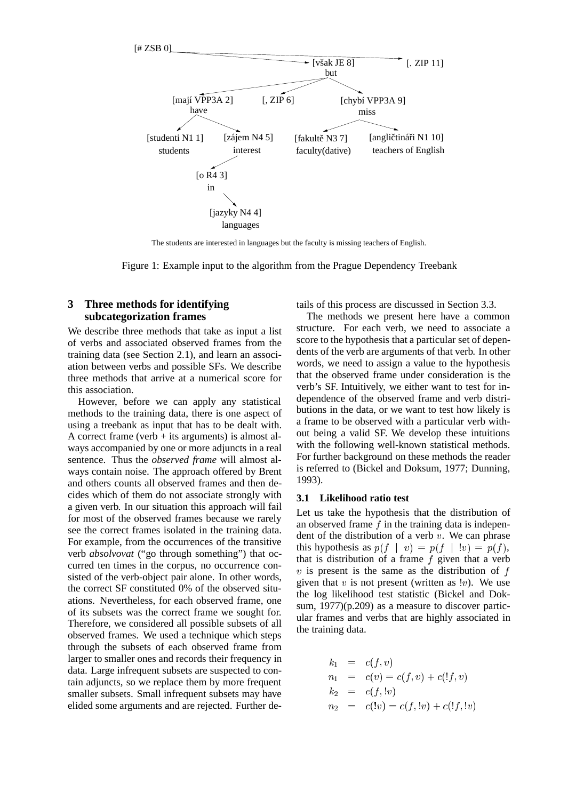

The students are interested in languages but the faculty is missing teachers of English.

Figure 1: Example input to the algorithm from the Prague Dependency Treebank

## **3 Three methods for identifying subcategorization frames**

We describe three methods that take as input a list of verbs and associated observed frames from the training data (see Section 2.1), and learn an association between verbs and possible SFs. We describe three methods that arrive at a numerical score for this association.

However, before we can apply any statistical methods to the training data, there is one aspect of using a treebank as input that has to be dealt with. A correct frame (verb  $+$  its arguments) is almost always accompanied by one or more adjuncts in a real sentence. Thus the *observed frame* will almost always contain noise. The approach offered by Brent and others counts all observed frames and then decides which of them do not associate strongly with a given verb. In our situation this approach will fail for most of the observed frames because we rarely see the correct frames isolated in the training data. For example, from the occurrences of the transitive verb *absolvovat* ("go through something") that occurred ten times in the corpus, no occurrence consisted of the verb-object pair alone. In other words, the correct SF constituted 0% of the observed situations. Nevertheless, for each observed frame, one of its subsets was the correct frame we sought for. Therefore, we considered all possible subsets of all observed frames. We used a technique which steps through the subsets of each observed frame from larger to smaller ones and records their frequency in data. Large infrequent subsets are suspected to contain adjuncts, so we replace them by more frequent smaller subsets. Small infrequent subsets may have elided some arguments and are rejected. Further details of this process are discussed in Section 3.3.

The methods we present here have a common structure. For each verb, we need to associate a score to the hypothesis that a particular set of dependents of the verb are arguments of that verb. In other words, we need to assign a value to the hypothesis that the observed frame under consideration is the verb's SF. Intuitively, we either want to test for independence of the observed frame and verb distributions in the data, or we want to test how likely is a frame to be observed with a particular verb without being a valid SF. We develop these intuitions with the following well-known statistical methods. For further background on these methods the reader is referred to (Bickel and Doksum, 1977; Dunning, 1993).

#### **3.1 Likelihood ratio test**

Let us take the hypothesis that the distribution of an observed frame  $f$  in the training data is independent of the distribution of a verb  $v$ . We can phrase this hypothesis as  $p(f \mid v) = p(f \mid !v) = p(f)$ , that is distribution of a frame  $f$  given that a verb  $v$  is present is the same as the distribution of  $f$ given that  $v$  is not present (written as  $|v|$ ). We use the log likelihood test statistic (Bickel and Doksum, 1977)(p.209) as a measure to discover particular frames and verbs that are highly associated in the training data.

$$
k_1 = c(f, v)
$$
  
\n
$$
n_1 = c(v) = c(f, v) + c(lf, v)
$$
  
\n
$$
k_2 = c(f, w)
$$
  
\n
$$
n_2 = c(lv) = c(f, w) + c(lf, w)
$$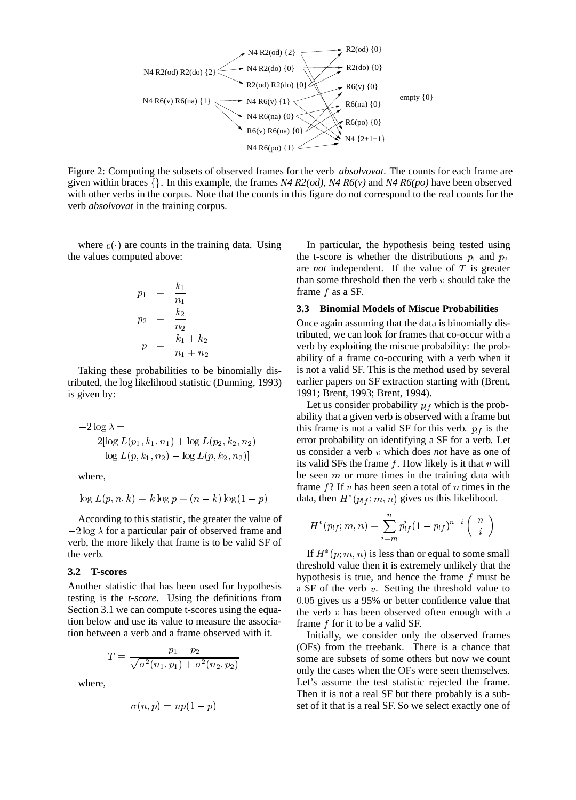

Figure 2: Computing the subsets of observed frames for the verb *absolvovat*. The counts for each frame are given within braces  $\{\}$ . In this example, the frames *N4 R2(od), N4 R6(v)* and *N4 R6(po)* have been observed with other verbs in the corpus. Note that the counts in this figure do not correspond to the real counts for the verb *absolvovat* in the training corpus.

where  $c(\cdot)$  are counts in the training data. Using the values computed above:

$$
p_1 = \frac{k_1}{n_1}
$$
  
\n
$$
p_2 = \frac{k_2}{n_2}
$$
  
\n
$$
p = \frac{k_1 + k_2}{n_1 + n_2}
$$

Taking these probabilities to be binomially distributed, the log likelihood statistic (Dunning, 1993) is given by:

$$
-2 \log \lambda = \text{this fra}
$$
\n
$$
2[\log L(p_1, k_1, n_1) + \log L(p_2, k_2, n_2) - \text{error p}
$$
\n
$$
\log L(p, k_1, n_2) - \log L(p, k_2, n_2)]
$$
\n
$$
\text{us cons}
$$

where,

$$
\log L(p, n, k) = k \log p + (n - k) \log(1 - p) \quad \text{data},
$$

According to this statistic, the greater the value of  $-2 \log \lambda$  for a particular pair of observed frame and verb, the more likely that frame is to be valid SF of the verb.

#### **3.2 T-scores**

Another statistic that has been used for hypothesis testing is the *t-score*. Using the definitions from Section 3.1 we can compute t-scores using the equation below and use its value to measure the association between a verb and a frame observed with it.

$$
T = \frac{p_1 - p_2}{\sqrt{\sigma^2(n_1, p_1) + \sigma^2(n_2, p_2)}}
$$

where,

$$
\sigma(n,p)=np(1-p)
$$

In particular, the hypothesis being tested using the t-score is whether the distributions  $p_1$  and  $p_2$ are *not* independent. If the value of <sup>T</sup> is greater than some threshold then the verb  $v$  should take the frame  $f$  as a SF.

#### **3.3 Binomial Models of Miscue Probabilities**

Once again assuming that the data is binomially distributed, we can look for frames that co-occur with a verb by exploiting the miscue probability: the probability of a frame co-occuring with a verb when it is not a valid SF. This is the method used by several earlier papers on SF extraction starting with (Brent, 1991; Brent, 1993; Brent, 1994).

Let us consider probability  $p_f$  which is the probability that a given verb is observed with a frame but this frame is not a valid SF for this verb.  $p_f$  is the error probability on identifying a SF for a verb. Let us consider a verb <sup>v</sup> which does *not* have as one of its valid SFs the frame  $f$ . How likely is it that  $v$  will be seen  $m$  or more times in the training data with frame  $f$ ? If v has been seen a total of n times in the data, then  $H^*(p_{!f}; m, n)$  gives us this likelihood.

$$
H^*(p_{!f};m,n)=\sum_{i=m}^np^i_{!f}(1-p_{!f})^{n-i}\left(\begin{array}{c}n\\i\end{array}\right)
$$

If  $H^*(p;m,n)$  is less than or equal to some small threshold value then it is extremely unlikely that the hypothesis is true, and hence the frame <sup>f</sup> must be a SF of the verb  $v$ . Setting the threshold value to 0:05 gives us a 95% or better confidence value that the verb  $v$  has been observed often enough with a frame <sup>f</sup> for it to be a valid SF.

Initially, we consider only the observed frames (OFs) from the treebank. There is a chance that some are subsets of some others but now we count only the cases when the OFs were seen themselves. Let's assume the test statistic rejected the frame. Then it is not a real SF but there probably is a subset of it that is a real SF. So we select exactly one of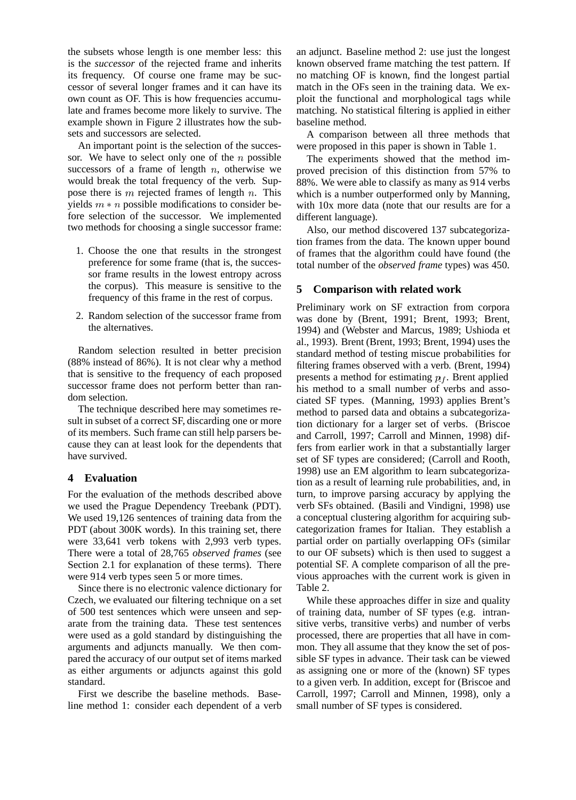the subsets whose length is one member less: this is the *successor* of the rejected frame and inherits its frequency. Of course one frame may be successor of several longer frames and it can have its own count as OF. This is how frequencies accumulate and frames become more likely to survive. The example shown in Figure 2 illustrates how the subsets and successors are selected.

An important point is the selection of the successor. We have to select only one of the  $n$  possible successors of a frame of length  $n$ , otherwise we would break the total frequency of the verb. Suppose there is  $m$  rejected frames of length  $n$ . This yields  $m * n$  possible modifications to consider before selection of the successor. We implemented two methods for choosing a single successor frame:

- 1. Choose the one that results in the strongest preference for some frame (that is, the successor frame results in the lowest entropy across the corpus). This measure is sensitive to the frequency of this frame in the rest of corpus.
- 2. Random selection of the successor frame from the alternatives.

Random selection resulted in better precision (88% instead of 86%). It is not clear why a method that is sensitive to the frequency of each proposed successor frame does not perform better than random selection.

The technique described here may sometimes result in subset of a correct SF, discarding one or more of its members. Such frame can still help parsers because they can at least look for the dependents that have survived.

## **4 Evaluation**

For the evaluation of the methods described above we used the Prague Dependency Treebank (PDT). We used 19,126 sentences of training data from the PDT (about 300K words). In this training set, there were 33,641 verb tokens with 2,993 verb types. There were a total of 28,765 *observed frames* (see Section 2.1 for explanation of these terms). There were 914 verb types seen 5 or more times.

Since there is no electronic valence dictionary for Czech, we evaluated our filtering technique on a set of 500 test sentences which were unseen and separate from the training data. These test sentences were used as a gold standard by distinguishing the arguments and adjuncts manually. We then compared the accuracy of our output set of items marked as either arguments or adjuncts against this gold standard.

First we describe the baseline methods. Baseline method 1: consider each dependent of a verb an adjunct. Baseline method 2: use just the longest known observed frame matching the test pattern. If no matching OF is known, find the longest partial match in the OFs seen in the training data. We exploit the functional and morphological tags while matching. No statistical filtering is applied in either baseline method.

A comparison between all three methods that were proposed in this paper is shown in Table 1.

The experiments showed that the method improved precision of this distinction from 57% to 88%. We were able to classify as many as 914 verbs which is a number outperformed only by Manning, with 10x more data (note that our results are for a different language).

Also, our method discovered 137 subcategorization frames from the data. The known upper bound of frames that the algorithm could have found (the total number of the *observed frame* types) was 450.

# **5 Comparison with related work**

Preliminary work on SF extraction from corpora was done by (Brent, 1991; Brent, 1993; Brent, 1994) and (Webster and Marcus, 1989; Ushioda et al., 1993). Brent (Brent, 1993; Brent, 1994) uses the standard method of testing miscue probabilities for filtering frames observed with a verb. (Brent, 1994) presents a method for estimating  $p_f$ . Brent applied his method to a small number of verbs and associated SF types. (Manning, 1993) applies Brent's method to parsed data and obtains a subcategorization dictionary for a larger set of verbs. (Briscoe and Carroll, 1997; Carroll and Minnen, 1998) differs from earlier work in that a substantially larger set of SF types are considered; (Carroll and Rooth, 1998) use an EM algorithm to learn subcategorization as a result of learning rule probabilities, and, in turn, to improve parsing accuracy by applying the verb SFs obtained. (Basili and Vindigni, 1998) use a conceptual clustering algorithm for acquiring subcategorization frames for Italian. They establish a partial order on partially overlapping OFs (similar to our OF subsets) which is then used to suggest a potential SF. A complete comparison of all the previous approaches with the current work is given in Table 2.

While these approaches differ in size and quality of training data, number of SF types (e.g. intransitive verbs, transitive verbs) and number of verbs processed, there are properties that all have in common. They all assume that they know the set of possible SF types in advance. Their task can be viewed as assigning one or more of the (known) SF types to a given verb. In addition, except for (Briscoe and Carroll, 1997; Carroll and Minnen, 1998), only a small number of SF types is considered.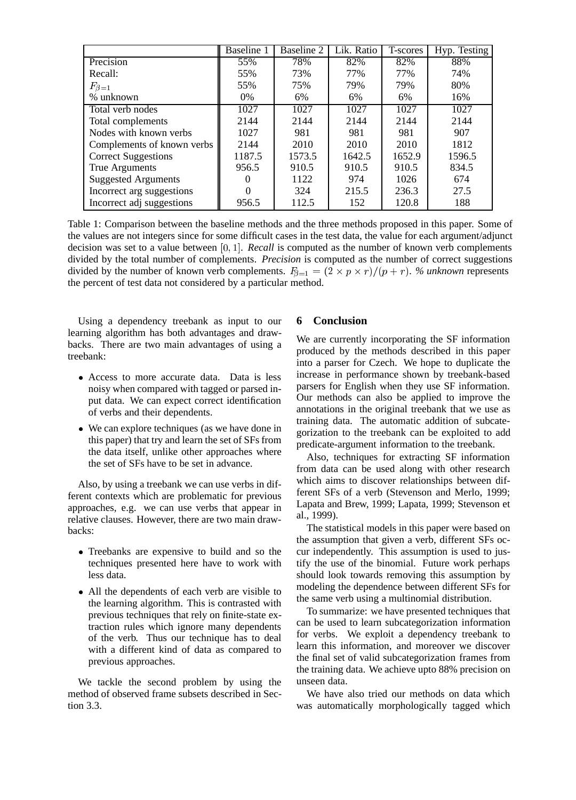|                            | Baseline 1 | Baseline 2 | Lik. Ratio | T-scores | Hyp. Testing |
|----------------------------|------------|------------|------------|----------|--------------|
| Precision                  | 55%        | 78%        | 82%        | 82%      | 88%          |
| Recall:                    | 55%        | 73%        | 77%        | 77%      | 74%          |
| $F_{\beta=1}$              | 55%        | 75%        | 79%        | 79%      | 80%          |
| % unknown                  | $0\%$      | 6%         | 6%         | 6%       | 16%          |
| Total verb nodes           | 1027       | 1027       | 1027       | 1027     | 1027         |
| Total complements          | 2144       | 2144       | 2144       | 2144     | 2144         |
| Nodes with known verbs     | 1027       | 981        | 981        | 981      | 907          |
| Complements of known verbs | 2144       | 2010       | 2010       | 2010     | 1812         |
| <b>Correct Suggestions</b> | 1187.5     | 1573.5     | 1642.5     | 1652.9   | 1596.5       |
| True Arguments             | 956.5      | 910.5      | 910.5      | 910.5    | 834.5        |
| <b>Suggested Arguments</b> |            | 1122       | 974        | 1026     | 674          |
| Incorrect arg suggestions  |            | 324        | 215.5      | 236.3    | 27.5         |
| Incorrect adj suggestions  | 956.5      | 112.5      | 152        | 120.8    | 188          |

Table 1: Comparison between the baseline methods and the three methods proposed in this paper. Some of the values are not integers since for some difficult cases in the test data, the value for each argument/adjunct decision was set to a value between [0; 1]. *Recall* is computed as the number of known verb complements divided by the total number of complements. *Precision* is computed as the number of correct suggestions divided by the number of known verb complements.  $F_{\beta=1} = (2 \times p \times r)/(p + r)$ . *% unknown* represents the percent of test data not considered by a particular method.

Using a dependency treebank as input to our learning algorithm has both advantages and drawbacks. There are two main advantages of using a treebank:

- Access to more accurate data. Data is less noisy when compared with tagged or parsed input data. We can expect correct identification of verbs and their dependents.
- We can explore techniques (as we have done in this paper) that try and learn the set of SFs from the data itself, unlike other approaches where the set of SFs have to be set in advance.

Also, by using a treebank we can use verbs in different contexts which are problematic for previous approaches, e.g. we can use verbs that appear in relative clauses. However, there are two main drawbacks:

- Treebanks are expensive to build and so the techniques presented here have to work with less data.
- All the dependents of each verb are visible to the learning algorithm. This is contrasted with previous techniques that rely on finite-state extraction rules which ignore many dependents of the verb. Thus our technique has to deal with a different kind of data as compared to previous approaches.

We tackle the second problem by using the method of observed frame subsets described in Section 3.3.

# **6 Conclusion**

We are currently incorporating the SF information produced by the methods described in this paper into a parser for Czech. We hope to duplicate the increase in performance shown by treebank-based parsers for English when they use SF information. Our methods can also be applied to improve the annotations in the original treebank that we use as training data. The automatic addition of subcategorization to the treebank can be exploited to add predicate-argument information to the treebank.

Also, techniques for extracting SF information from data can be used along with other research which aims to discover relationships between different SFs of a verb (Stevenson and Merlo, 1999; Lapata and Brew, 1999; Lapata, 1999; Stevenson et al., 1999).

The statistical models in this paper were based on the assumption that given a verb, different SFs occur independently. This assumption is used to justify the use of the binomial. Future work perhaps should look towards removing this assumption by modeling the dependence between different SFs for the same verb using a multinomial distribution.

To summarize: we have presented techniques that can be used to learn subcategorization information for verbs. We exploit a dependency treebank to learn this information, and moreover we discover the final set of valid subcategorization frames from the training data. We achieve upto 88% precision on unseen data.

We have also tried our methods on data which was automatically morphologically tagged which